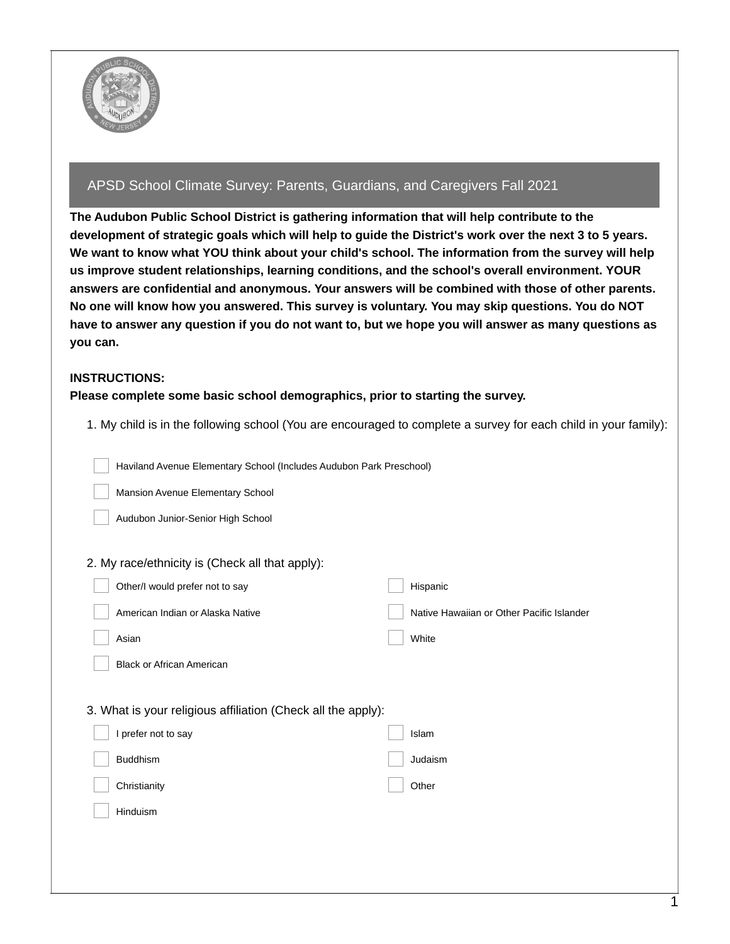

## APSD School Climate Survey: Parents, Guardians, and Caregivers Fall 2021

**The Audubon Public School District is gathering information that will help contribute to the** development of strategic goals which will help to guide the District's work over the next 3 to 5 years. We want to know what YOU think about your child's school. The information from the survey will help **us improve student relationships, learning conditions, and the school's overall environment. YOUR answers are confidential and anonymous. Your answers will be combined with those of other parents. No one will know how you answered. This survey is voluntary. You may skip questions. You do NOT** have to answer any question if you do not want to, but we hope you will answer as many questions as **you can.**

## **INSTRUCTIONS:**

## **Please complete some basic school demographics, prior to starting the survey.**

1. My child is in the following school (You are encouraged to complete a survey for each child in your family):

Haviland Avenue Elementary School (Includes Audubon Park Preschool)

Mansion Avenue Elementary School

Audubon Junior-Senior High School

#### 2. My race/ethnicity is (Check all that apply):

| Other/I would prefer not to say                              | Hispanic                                  |
|--------------------------------------------------------------|-------------------------------------------|
| American Indian or Alaska Native                             | Native Hawaiian or Other Pacific Islander |
| Asian                                                        | White                                     |
| <b>Black or African American</b>                             |                                           |
|                                                              |                                           |
| 3. What is your religious affiliation (Check all the apply): |                                           |
| I prefer not to say                                          | Islam                                     |
| <b>Buddhism</b>                                              | Judaism                                   |
| Christianity                                                 | Other                                     |
| Hinduism                                                     |                                           |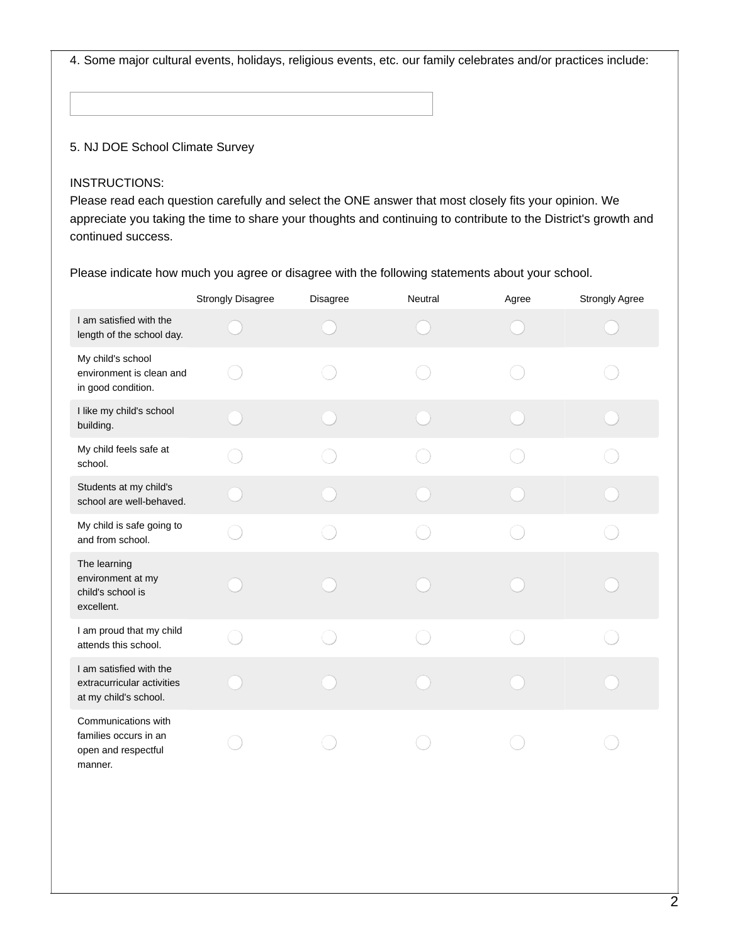4. Some major cultural events, holidays, religious events, etc. our family celebrates and/or practices include:

## 5. NJ DOE School Climate Survey

#### INSTRUCTIONS:

Please read each question carefully and select the ONE answer that most closely fits your opinion. We appreciate you taking the time to share your thoughts and continuing to contribute to the District's growth and continued success.

Please indicate how much you agree or disagree with the following statements about your school.

|                                                                                | <b>Strongly Disagree</b> | Disagree | Neutral | Agree | <b>Strongly Agree</b> |
|--------------------------------------------------------------------------------|--------------------------|----------|---------|-------|-----------------------|
| I am satisfied with the<br>length of the school day.                           |                          |          |         |       |                       |
| My child's school<br>environment is clean and<br>in good condition.            |                          |          |         |       |                       |
| I like my child's school<br>building.                                          |                          |          |         |       |                       |
| My child feels safe at<br>school.                                              |                          |          |         |       |                       |
| Students at my child's<br>school are well-behaved.                             |                          |          |         |       |                       |
| My child is safe going to<br>and from school.                                  |                          |          |         |       |                       |
| The learning<br>environment at my<br>child's school is<br>excellent.           |                          |          |         |       |                       |
| I am proud that my child<br>attends this school.                               |                          |          |         |       |                       |
| I am satisfied with the<br>extracurricular activities<br>at my child's school. |                          |          |         |       |                       |
| Communications with<br>families occurs in an<br>open and respectful<br>manner. |                          |          |         |       |                       |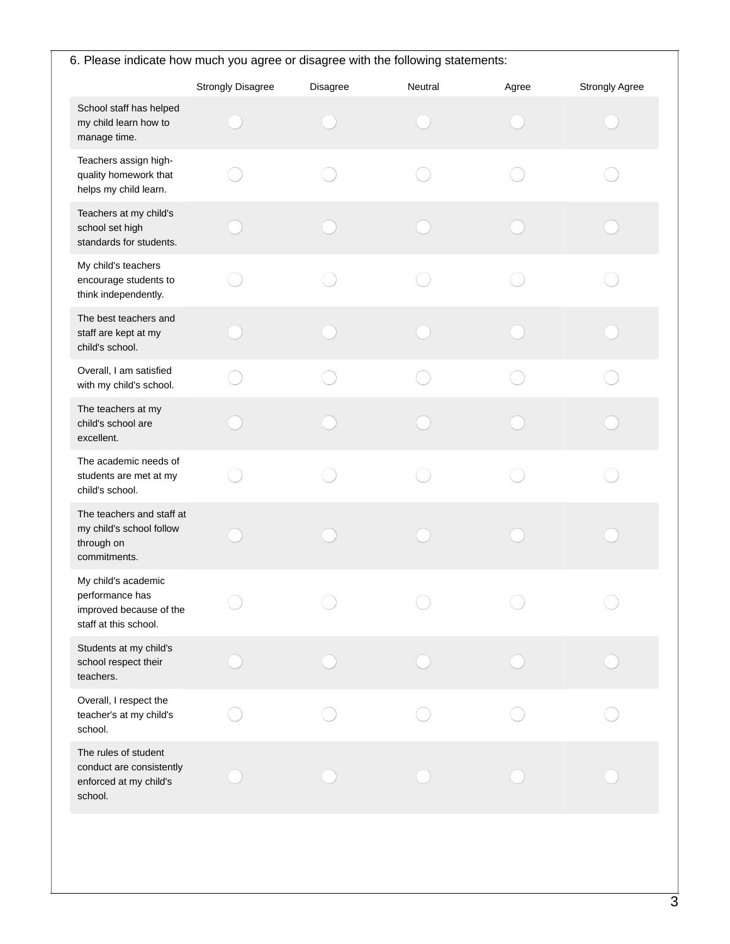| 6. Please indicate how much you agree or disagree with the following statements:           |                          |          |         |       |                |
|--------------------------------------------------------------------------------------------|--------------------------|----------|---------|-------|----------------|
|                                                                                            | <b>Strongly Disagree</b> | Disagree | Neutral | Agree | Strongly Agree |
| School staff has helped<br>my child learn how to<br>manage time.                           |                          |          |         |       |                |
| Teachers assign high-<br>quality homework that<br>helps my child learn.                    |                          |          |         |       |                |
| Teachers at my child's<br>school set high<br>standards for students.                       |                          |          |         |       |                |
| My child's teachers<br>encourage students to<br>think independently.                       |                          |          |         |       |                |
| The best teachers and<br>staff are kept at my<br>child's school.                           |                          |          |         |       |                |
| Overall, I am satisfied<br>with my child's school.                                         |                          |          |         |       |                |
| The teachers at my<br>child's school are<br>excellent.                                     |                          |          |         |       |                |
| The academic needs of<br>students are met at my<br>child's school.                         |                          |          |         |       |                |
| The teachers and staff at<br>my child's school follow<br>through on<br>commitments.        |                          |          |         |       |                |
| My child's academic<br>performance has<br>improved because of the<br>staff at this school. |                          |          |         |       |                |
| Students at my child's<br>school respect their<br>teachers.                                |                          |          |         |       |                |
| Overall, I respect the<br>teacher's at my child's<br>school.                               |                          |          |         |       |                |
| The rules of student<br>conduct are consistently<br>enforced at my child's<br>school.      |                          |          |         |       |                |
|                                                                                            |                          |          |         |       |                |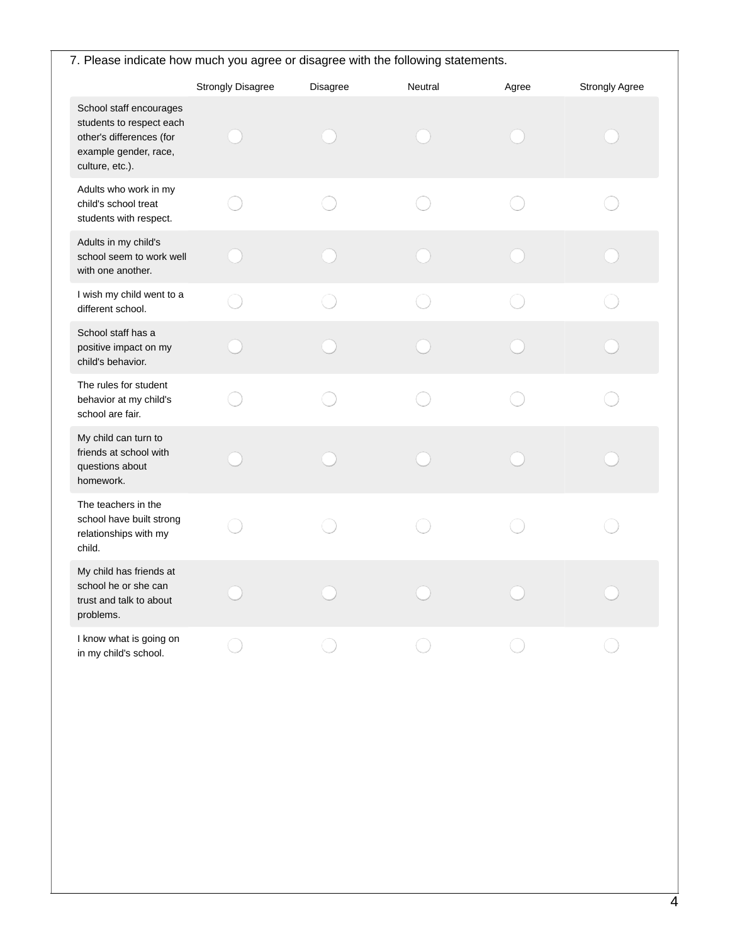| 7. Please indicate how much you agree or disagree with the following statements.                                            |                          |          |         |       |                |
|-----------------------------------------------------------------------------------------------------------------------------|--------------------------|----------|---------|-------|----------------|
|                                                                                                                             | <b>Strongly Disagree</b> | Disagree | Neutral | Agree | Strongly Agree |
| School staff encourages<br>students to respect each<br>other's differences (for<br>example gender, race,<br>culture, etc.). |                          |          |         |       |                |
| Adults who work in my<br>child's school treat<br>students with respect.                                                     |                          |          |         |       |                |
| Adults in my child's<br>school seem to work well<br>with one another.                                                       |                          |          |         |       |                |
| I wish my child went to a<br>different school.                                                                              |                          |          |         |       |                |
| School staff has a<br>positive impact on my<br>child's behavior.                                                            |                          |          |         |       |                |
| The rules for student<br>behavior at my child's<br>school are fair.                                                         |                          |          |         |       |                |
| My child can turn to<br>friends at school with<br>questions about<br>homework.                                              |                          |          |         |       |                |
| The teachers in the<br>school have built strong<br>relationships with my<br>child.                                          |                          |          |         |       |                |
| My child has friends at<br>school he or she can<br>trust and talk to about<br>problems.                                     |                          |          |         |       |                |
| I know what is going on<br>in my child's school.                                                                            |                          |          |         |       |                |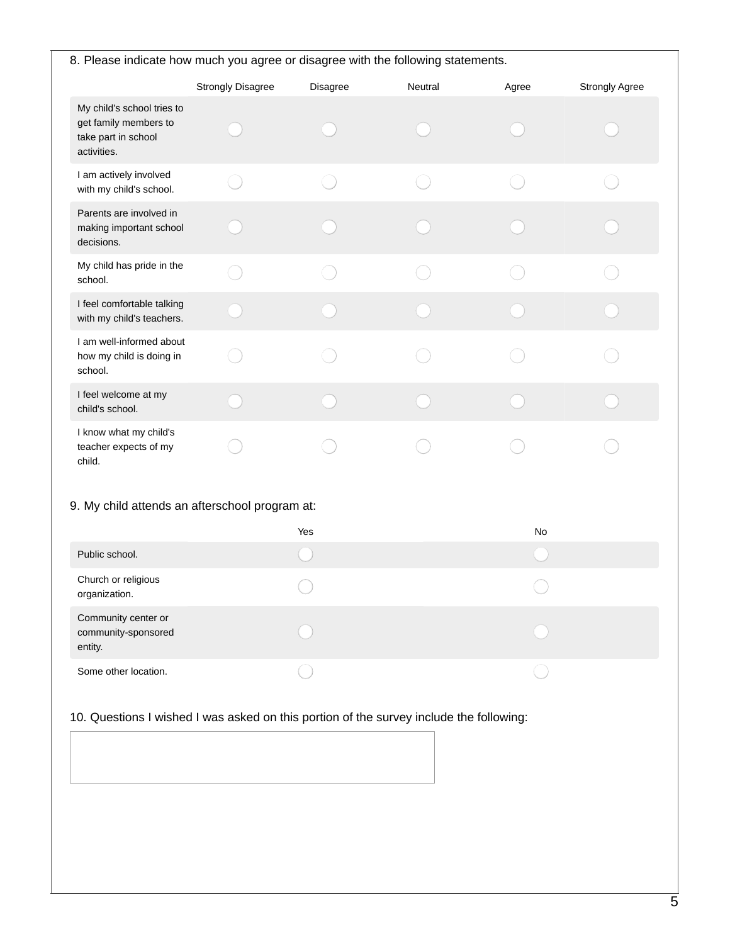| 8. Please indicate how much you agree or disagree with the following statements.          |                          |          |         |       |                       |
|-------------------------------------------------------------------------------------------|--------------------------|----------|---------|-------|-----------------------|
|                                                                                           | <b>Strongly Disagree</b> | Disagree | Neutral | Agree | <b>Strongly Agree</b> |
| My child's school tries to<br>get family members to<br>take part in school<br>activities. |                          |          |         |       |                       |
| I am actively involved<br>with my child's school.                                         |                          |          |         |       |                       |
| Parents are involved in<br>making important school<br>decisions.                          |                          |          |         |       |                       |
| My child has pride in the<br>school.                                                      |                          |          |         |       |                       |
| I feel comfortable talking<br>with my child's teachers.                                   |                          |          |         |       |                       |
| I am well-informed about<br>how my child is doing in<br>school.                           |                          |          |         |       |                       |
| I feel welcome at my<br>child's school.                                                   |                          |          |         |       |                       |
| I know what my child's<br>teacher expects of my<br>child.                                 |                          |          |         |       |                       |
| 9. My child attends an afterschool program at:                                            |                          |          |         |       |                       |
| Public school.                                                                            |                          | Yes      |         | No    |                       |
| Church or religious<br>organization.                                                      |                          |          |         |       |                       |
| Community center or<br>community-sponsored<br>entity.                                     |                          |          |         |       |                       |
| Some other location.                                                                      |                          |          |         |       |                       |

# 10. Questions I wished I was asked on this portion of the survey include the following: